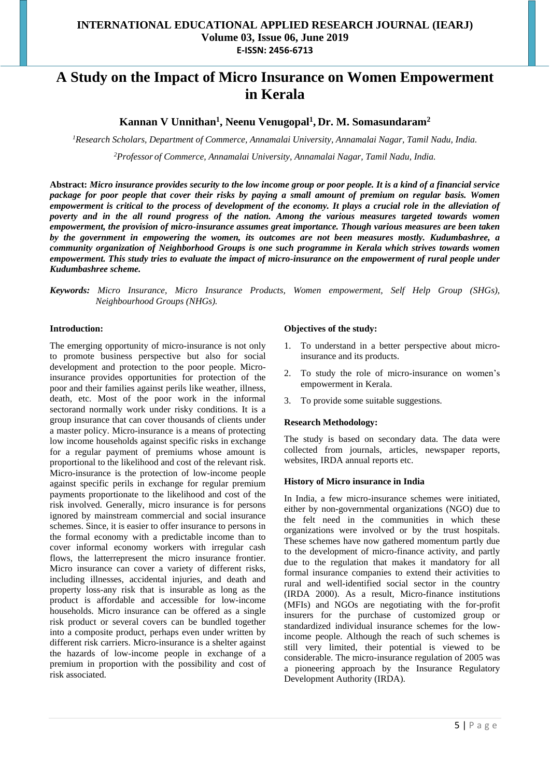# **INTERNATIONAL EDUCATIONAL APPLIED RESEARCH JOURNAL (IEARJ) Volume 03, Issue 06, June 2019 E-ISSN: 2456-6713**

# **A Study on the Impact of Micro Insurance on Women Empowerment in Kerala**

# **Kannan V Unnithan<sup>1</sup> , Neenu Venugopal<sup>1</sup> , Dr. M. Somasundaram<sup>2</sup>**

*<sup>1</sup>Research Scholars, Department of Commerce, Annamalai University, Annamalai Nagar, Tamil Nadu, India.*

*<sup>2</sup>Professor of Commerce, Annamalai University, Annamalai Nagar, Tamil Nadu, India.*

**Abstract:** *Micro insurance provides security to the low income group or poor people. It is a kind of a financial service package for poor people that cover their risks by paying a small amount of premium on regular basis. Women empowerment is critical to the process of development of the economy. It plays a crucial role in the alleviation of poverty and in the all round progress of the nation. Among the various measures targeted towards women empowerment, the provision of micro-insurance assumes great importance. Though various measures are been taken by the government in empowering the women, its outcomes are not been measures mostly. Kudumbashree, a community organization of Neighborhood Groups is one such programme in Kerala which strives towards women empowerment. This study tries to evaluate the impact of micro-insurance on the empowerment of rural people under Kudumbashree scheme.*

*Keywords: Micro Insurance, Micro Insurance Products, Women empowerment, Self Help Group (SHGs), Neighbourhood Groups (NHGs).*

#### **Introduction:**

The emerging opportunity of micro-insurance is not only to promote business perspective but also for social development and protection to the poor people. Microinsurance provides opportunities for protection of the poor and their families against perils like weather, illness, death, etc. Most of the poor work in the informal sectorand normally work under risky conditions. It is a group insurance that can cover thousands of clients under a master policy. Micro-insurance is a means of protecting low income households against specific risks in exchange for a regular payment of premiums whose amount is proportional to the likelihood and cost of the relevant risk. Micro-insurance is the protection of low-income people against specific perils in exchange for regular premium payments proportionate to the likelihood and cost of the risk involved. Generally, micro insurance is for persons ignored by mainstream commercial and social insurance schemes. Since, it is easier to offer insurance to persons in the formal economy with a predictable income than to cover informal economy workers with irregular cash flows, the latterrepresent the micro insurance frontier. Micro insurance can cover a variety of different risks, including illnesses, accidental injuries, and death and property loss-any risk that is insurable as long as the product is affordable and accessible for low-income households. Micro insurance can be offered as a single risk product or several covers can be bundled together into a composite product, perhaps even under written by different risk carriers. Micro-insurance is a shelter against the hazards of low-income people in exchange of a premium in proportion with the possibility and cost of risk associated.

## **Objectives of the study:**

- 1. To understand in a better perspective about microinsurance and its products.
- 2. To study the role of micro-insurance on women's empowerment in Kerala.
- 3. To provide some suitable suggestions.

#### **Research Methodology:**

The study is based on secondary data. The data were collected from journals, articles, newspaper reports, websites, IRDA annual reports etc.

#### **History of Micro insurance in India**

In India, a few micro-insurance schemes were initiated, either by non-governmental organizations (NGO) due to the felt need in the communities in which these organizations were involved or by the trust hospitals. These schemes have now gathered momentum partly due to the development of micro-finance activity, and partly due to the regulation that makes it mandatory for all formal insurance companies to extend their activities to rural and well-identified social sector in the country (IRDA 2000). As a result, Micro-finance institutions (MFIs) and NGOs are negotiating with the for-profit insurers for the purchase of customized group or standardized individual insurance schemes for the lowincome people. Although the reach of such schemes is still very limited, their potential is viewed to be considerable. The micro-insurance regulation of 2005 was a pioneering approach by the Insurance Regulatory Development Authority (IRDA).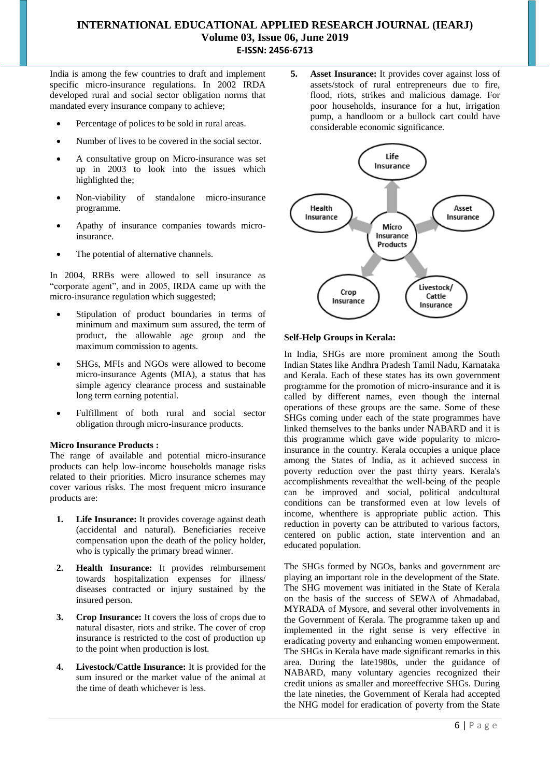# **INTERNATIONAL EDUCATIONAL APPLIED RESEARCH JOURNAL (IEARJ) Volume 03, Issue 06, June 2019 E-ISSN: 2456-6713**

India is among the few countries to draft and implement specific micro-insurance regulations. In 2002 IRDA developed rural and social sector obligation norms that mandated every insurance company to achieve;

- Percentage of polices to be sold in rural areas.
- Number of lives to be covered in the social sector.
- A consultative group on Micro-insurance was set up in 2003 to look into the issues which highlighted the;
- Non-viability of standalone micro-insurance programme.
- Apathy of insurance companies towards microinsurance.
- The potential of alternative channels.

In 2004, RRBs were allowed to sell insurance as "corporate agent", and in 2005, IRDA came up with the micro-insurance regulation which suggested;

- Stipulation of product boundaries in terms of minimum and maximum sum assured, the term of product, the allowable age group and the maximum commission to agents.
- SHGs, MFIs and NGOs were allowed to become micro-insurance Agents (MIA), a status that has simple agency clearance process and sustainable long term earning potential.
- Fulfillment of both rural and social sector obligation through micro-insurance products.

#### **Micro Insurance Products :**

The range of available and potential micro-insurance products can help low-income households manage risks related to their priorities. Micro insurance schemes may cover various risks. The most frequent micro insurance products are:

- **1. Life Insurance:** It provides coverage against death (accidental and natural). Beneficiaries receive compensation upon the death of the policy holder, who is typically the primary bread winner.
- **2. Health Insurance:** It provides reimbursement towards hospitalization expenses for illness/ diseases contracted or injury sustained by the insured person.
- **3. Crop Insurance:** It covers the loss of crops due to natural disaster, riots and strike. The cover of crop insurance is restricted to the cost of production up to the point when production is lost.
- **4. Livestock/Cattle Insurance:** It is provided for the sum insured or the market value of the animal at the time of death whichever is less.

**5. Asset Insurance:** It provides cover against loss of assets/stock of rural entrepreneurs due to fire, flood, riots, strikes and malicious damage. For poor households, insurance for a hut, irrigation pump, a handloom or a bullock cart could have considerable economic significance.



#### **Self-Help Groups in Kerala:**

In India, SHGs are more prominent among the South Indian States like Andhra Pradesh Tamil Nadu, Karnataka and Kerala. Each of these states has its own government programme for the promotion of micro-insurance and it is called by different names, even though the internal operations of these groups are the same. Some of these SHGs coming under each of the state programmes have linked themselves to the banks under NABARD and it is this programme which gave wide popularity to microinsurance in the country. Kerala occupies a unique place among the States of India, as it achieved success in poverty reduction over the past thirty years. Kerala's accomplishments revealthat the well-being of the people can be improved and social, political andcultural conditions can be transformed even at low levels of income, whenthere is appropriate public action. This reduction in poverty can be attributed to various factors, centered on public action, state intervention and an educated population.

The SHGs formed by NGOs, banks and government are playing an important role in the development of the State. The SHG movement was initiated in the State of Kerala on the basis of the success of SEWA of Ahmadabad, MYRADA of Mysore, and several other involvements in the Government of Kerala. The programme taken up and implemented in the right sense is very effective in eradicating poverty and enhancing women empowerment. The SHGs in Kerala have made significant remarks in this area. During the late1980s, under the guidance of NABARD, many voluntary agencies recognized their credit unions as smaller and moreeffective SHGs. During the late nineties, the Government of Kerala had accepted the NHG model for eradication of poverty from the State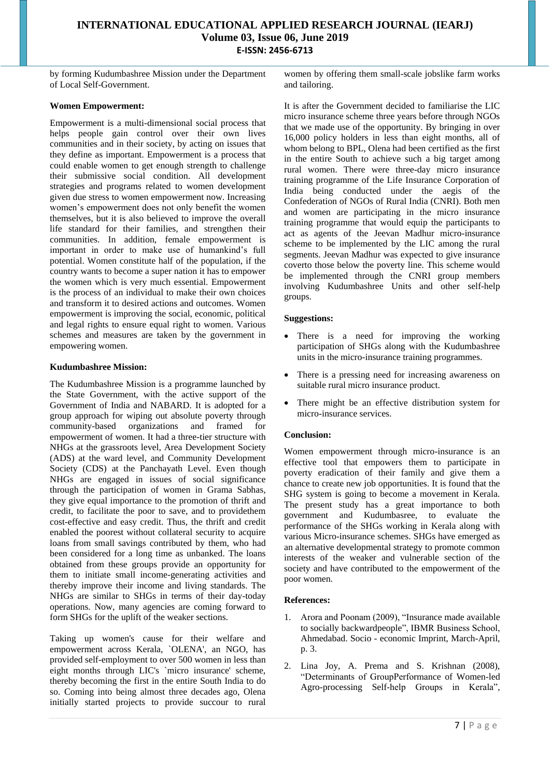by forming Kudumbashree Mission under the Department of Local Self-Government.

## **Women Empowerment:**

Empowerment is a multi-dimensional social process that helps people gain control over their own lives communities and in their society, by acting on issues that they define as important. Empowerment is a process that could enable women to get enough strength to challenge their submissive social condition. All development strategies and programs related to women development given due stress to women empowerment now. Increasing women's empowerment does not only benefit the women themselves, but it is also believed to improve the overall life standard for their families, and strengthen their communities. In addition, female empowerment is important in order to make use of humankind's full potential. Women constitute half of the population, if the country wants to become a super nation it has to empower the women which is very much essential. Empowerment is the process of an individual to make their own choices and transform it to desired actions and outcomes. Women empowerment is improving the social, economic, political and legal rights to ensure equal right to women. Various schemes and measures are taken by the government in empowering women.

## **Kudumbashree Mission:**

The Kudumbashree Mission is a programme launched by the State Government, with the active support of the Government of India and NABARD. It is adopted for a group approach for wiping out absolute poverty through community-based organizations and framed for empowerment of women. It had a three-tier structure with NHGs at the grassroots level, Area Development Society (ADS) at the ward level, and Community Development Society (CDS) at the Panchayath Level. Even though NHGs are engaged in issues of social significance through the participation of women in Grama Sabhas*,*  they give equal importance to the promotion of thrift and credit, to facilitate the poor to save, and to providethem cost-effective and easy credit. Thus, the thrift and credit enabled the poorest without collateral security to acquire loans from small savings contributed by them, who had been considered for a long time as unbanked. The loans obtained from these groups provide an opportunity for them to initiate small income-generating activities and thereby improve their income and living standards. The NHGs are similar to SHGs in terms of their day-today operations. Now, many agencies are coming forward to form SHGs for the uplift of the weaker sections.

Taking up women's cause for their welfare and empowerment across Kerala, `OLENA', an NGO, has provided self-employment to over 500 women in less than eight months through LIC's `micro insurance' scheme, thereby becoming the first in the entire South India to do so. Coming into being almost three decades ago, Olena initially started projects to provide succour to rural

women by offering them small-scale jobslike farm works and tailoring.

It is after the Government decided to familiarise the LIC micro insurance scheme three years before through NGOs that we made use of the opportunity. By bringing in over 16,000 policy holders in less than eight months, all of whom belong to BPL, Olena had been certified as the first in the entire South to achieve such a big target among rural women. There were three-day micro insurance training programme of the Life Insurance Corporation of India being conducted under the aegis of the Confederation of NGOs of Rural India (CNRI). Both men and women are participating in the micro insurance training programme that would equip the participants to act as agents of the Jeevan Madhur micro-insurance scheme to be implemented by the LIC among the rural segments. Jeevan Madhur was expected to give insurance coverto those below the poverty line. This scheme would be implemented through the CNRI group members involving Kudumbashree Units and other self-help groups.

#### **Suggestions:**

- There is a need for improving the working participation of SHGs along with the Kudumbashree units in the micro-insurance training programmes.
- There is a pressing need for increasing awareness on suitable rural micro insurance product.
- There might be an effective distribution system for micro-insurance services.

## **Conclusion:**

Women empowerment through micro-insurance is an effective tool that empowers them to participate in poverty eradication of their family and give them a chance to create new job opportunities. It is found that the SHG system is going to become a movement in Kerala. The present study has a great importance to both government and Kudumbasree, to evaluate the performance of the SHGs working in Kerala along with various Micro-insurance schemes. SHGs have emerged as an alternative developmental strategy to promote common interests of the weaker and vulnerable section of the society and have contributed to the empowerment of the poor women.

#### **References:**

- 1. Arora and Poonam (2009), "Insurance made available to socially backwardpeople", IBMR Business School, Ahmedabad. Socio - economic Imprint, March-April, p. 3.
- 2. Lina Joy, A. Prema and S. Krishnan (2008), "Determinants of GroupPerformance of Women-led Agro-processing Self-help Groups in Kerala",